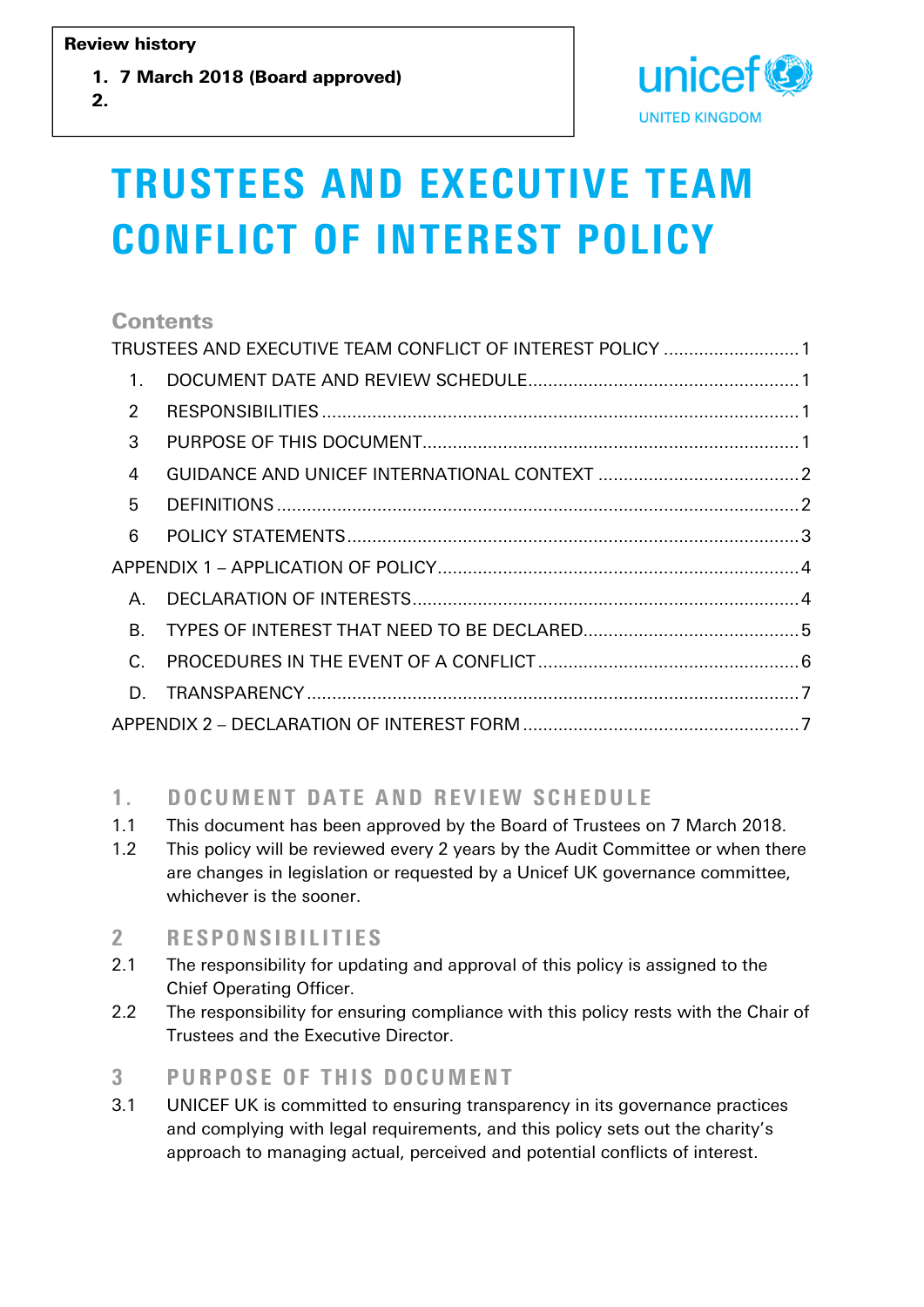**1. 7 March 2018 (Board approved)** 

**2.**



# **TRUSTEES AND EXECUTIVE TEAM CONFLICT OF INTEREST POLICY**

# **Contents**

|                | TRUSTEES AND EXECUTIVE TEAM CONFLICT OF INTEREST POLICY  1 |  |  |  |
|----------------|------------------------------------------------------------|--|--|--|
| $1_{\cdot}$    |                                                            |  |  |  |
| 2              |                                                            |  |  |  |
| 3              |                                                            |  |  |  |
| $\overline{4}$ |                                                            |  |  |  |
| 5              |                                                            |  |  |  |
| 6              |                                                            |  |  |  |
|                |                                                            |  |  |  |
| Α.             |                                                            |  |  |  |
| <b>B.</b>      |                                                            |  |  |  |
| $C$ .          |                                                            |  |  |  |
| D.             |                                                            |  |  |  |
|                |                                                            |  |  |  |

# 1. **DOCUMENT DATE AND REVIEW SCHEDULE**

- 1.1 This document has been approved by the Board of Trustees on 7 March 2018.
- 1.2 This policy will be reviewed every 2 years by the Audit Committee or when there are changes in legislation or requested by a Unicef UK governance committee, whichever is the sooner.

# **2 R E S P O N S I B I L I T I E S**

- 2.1 The responsibility for updating and approval of this policy is assigned to the Chief Operating Officer.
- 2.2 The responsibility for ensuring compliance with this policy rests with the Chair of Trustees and the Executive Director.

# **3** PURPOSE OF THIS DOCUMENT

3.1 UNICEF UK is committed to ensuring transparency in its governance practices and complying with legal requirements, and this policy sets out the charity's approach to managing actual, perceived and potential conflicts of interest.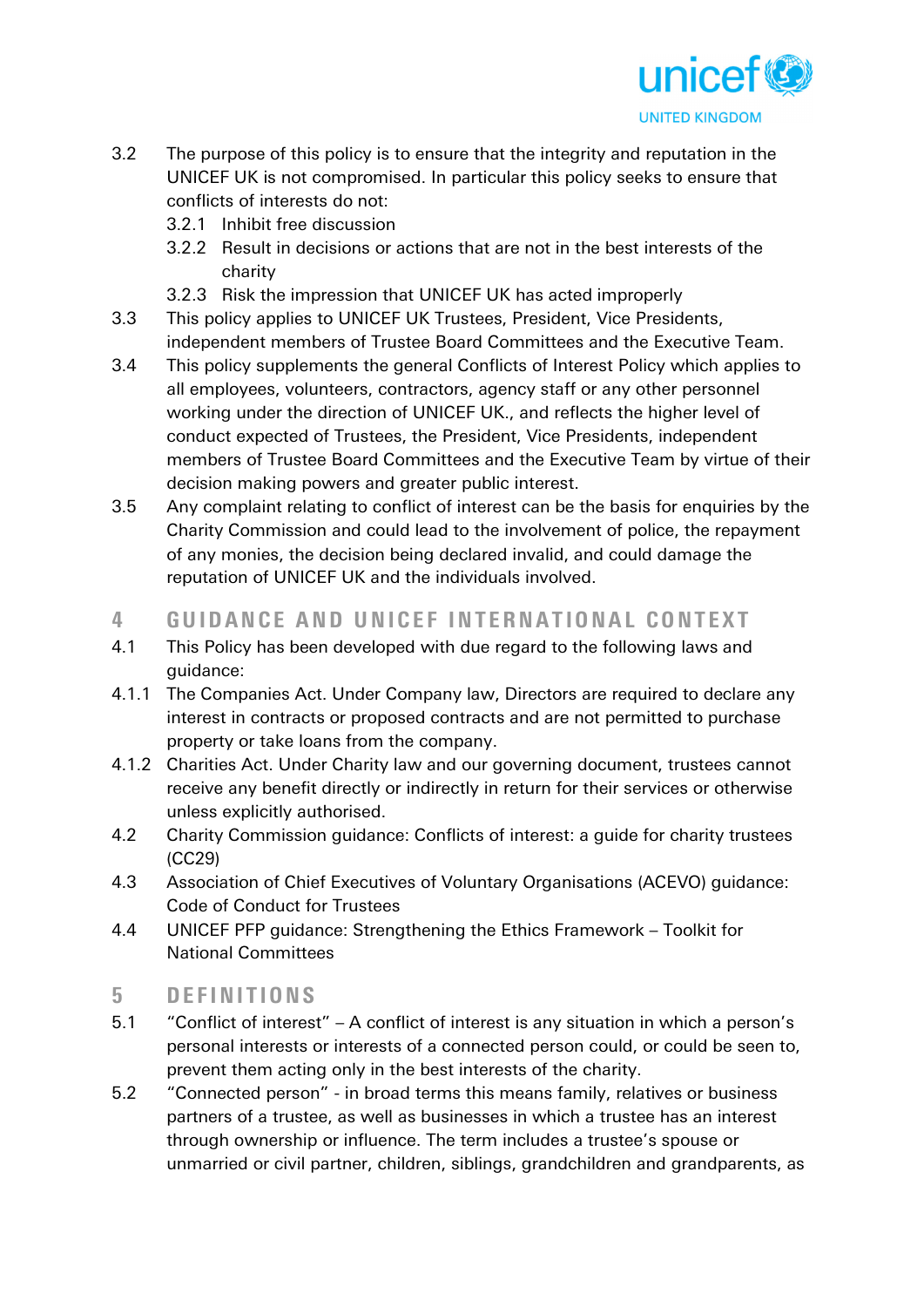

- 3.2 The purpose of this policy is to ensure that the integrity and reputation in the UNICEF UK is not compromised. In particular this policy seeks to ensure that conflicts of interests do not:
	- 3.2.1 Inhibit free discussion
	- 3.2.2 Result in decisions or actions that are not in the best interests of the charity
	- 3.2.3 Risk the impression that UNICEF UK has acted improperly
- 3.3 This policy applies to UNICEF UK Trustees, President, Vice Presidents, independent members of Trustee Board Committees and the Executive Team.
- 3.4 This policy supplements the general Conflicts of Interest Policy which applies to all employees, volunteers, contractors, agency staff or any other personnel working under the direction of UNICEF UK., and reflects the higher level of conduct expected of Trustees, the President, Vice Presidents, independent members of Trustee Board Committees and the Executive Team by virtue of their decision making powers and greater public interest.
- 3.5 Any complaint relating to conflict of interest can be the basis for enquiries by the Charity Commission and could lead to the involvement of police, the repayment of any monies, the decision being declared invalid, and could damage the reputation of UNICEF UK and the individuals involved.

### **4 G U I D A N C E A N D U N I C E F I N T E R N A T I O N A L C O N T E X T**

- 4.1 This Policy has been developed with due regard to the following laws and guidance:
- 4.1.1 The Companies Act. Under Company law, Directors are required to declare any interest in contracts or proposed contracts and are not permitted to purchase property or take loans from the company.
- 4.1.2 Charities Act. Under Charity law and our governing document, trustees cannot receive any benefit directly or indirectly in return for their services or otherwise unless explicitly authorised.
- 4.2 Charity Commission guidance: Conflicts of interest: a guide for charity trustees (CC29)
- 4.3 Association of Chief Executives of Voluntary Organisations (ACEVO) guidance: Code of Conduct for Trustees
- 4.4 UNICEF PFP guidance: Strengthening the Ethics Framework Toolkit for National Committees

### **5 D E F I N I T I O N S**

- 5.1 "Conflict of interest" A conflict of interest is any situation in which a person's personal interests or interests of a connected person could, or could be seen to, prevent them acting only in the best interests of the charity.
- 5.2 "Connected person" in broad terms this means family, relatives or business partners of a trustee, as well as businesses in which a trustee has an interest through ownership or influence. The term includes a trustee's spouse or unmarried or civil partner, children, siblings, grandchildren and grandparents, as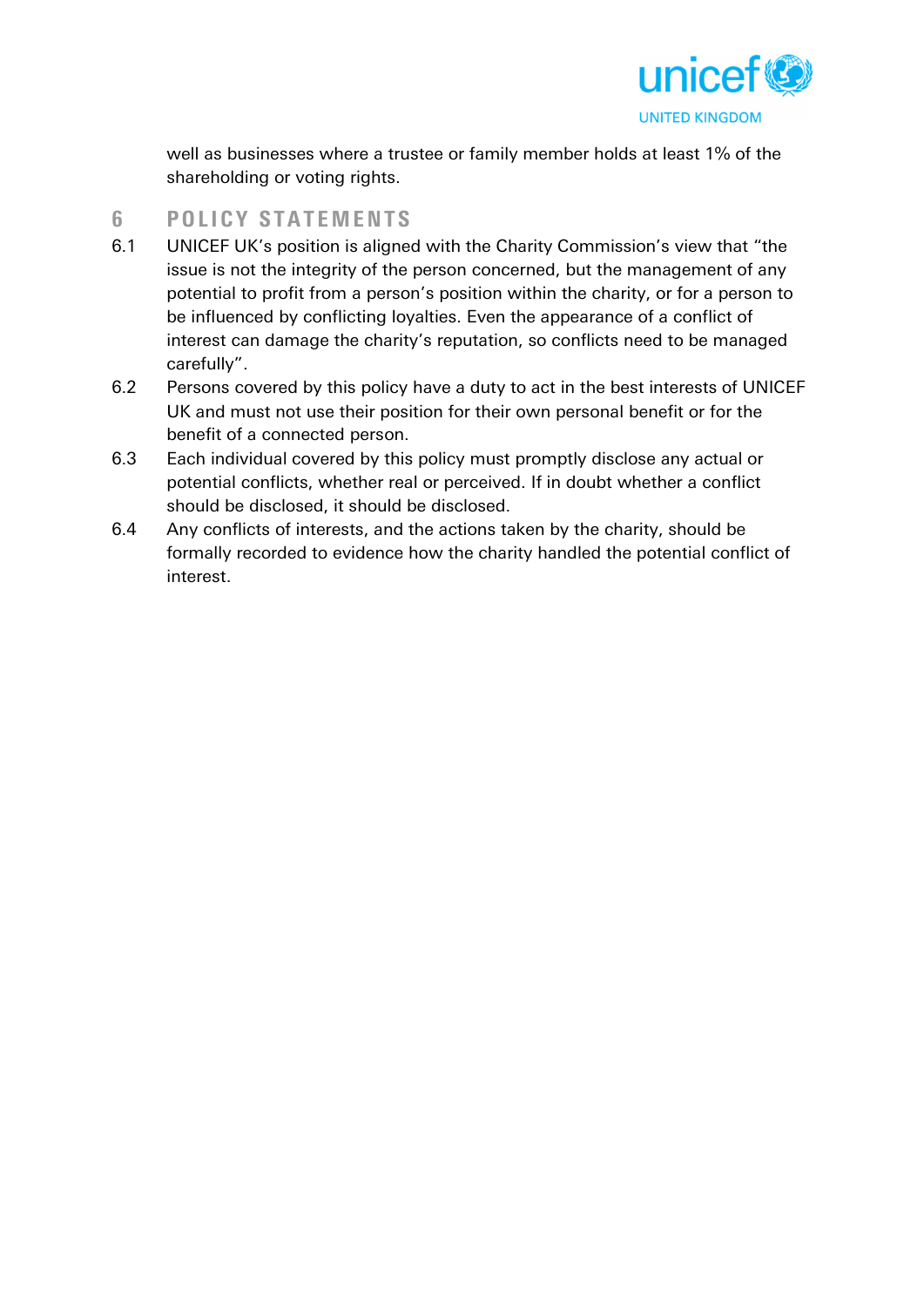

well as businesses where a trustee or family member holds at least 1% of the shareholding or voting rights.

#### **6** POLICY STATEMENTS

- 6.1 UNICEF UK's position is aligned with the Charity Commission's view that "the issue is not the integrity of the person concerned, but the management of any potential to profit from a person's position within the charity, or for a person to be influenced by conflicting loyalties. Even the appearance of a conflict of interest can damage the charity's reputation, so conflicts need to be managed carefully".
- 6.2 Persons covered by this policy have a duty to act in the best interests of UNICEF UK and must not use their position for their own personal benefit or for the benefit of a connected person.
- 6.3 Each individual covered by this policy must promptly disclose any actual or potential conflicts, whether real or perceived. If in doubt whether a conflict should be disclosed, it should be disclosed.
- 6.4 Any conflicts of interests, and the actions taken by the charity, should be formally recorded to evidence how the charity handled the potential conflict of interest.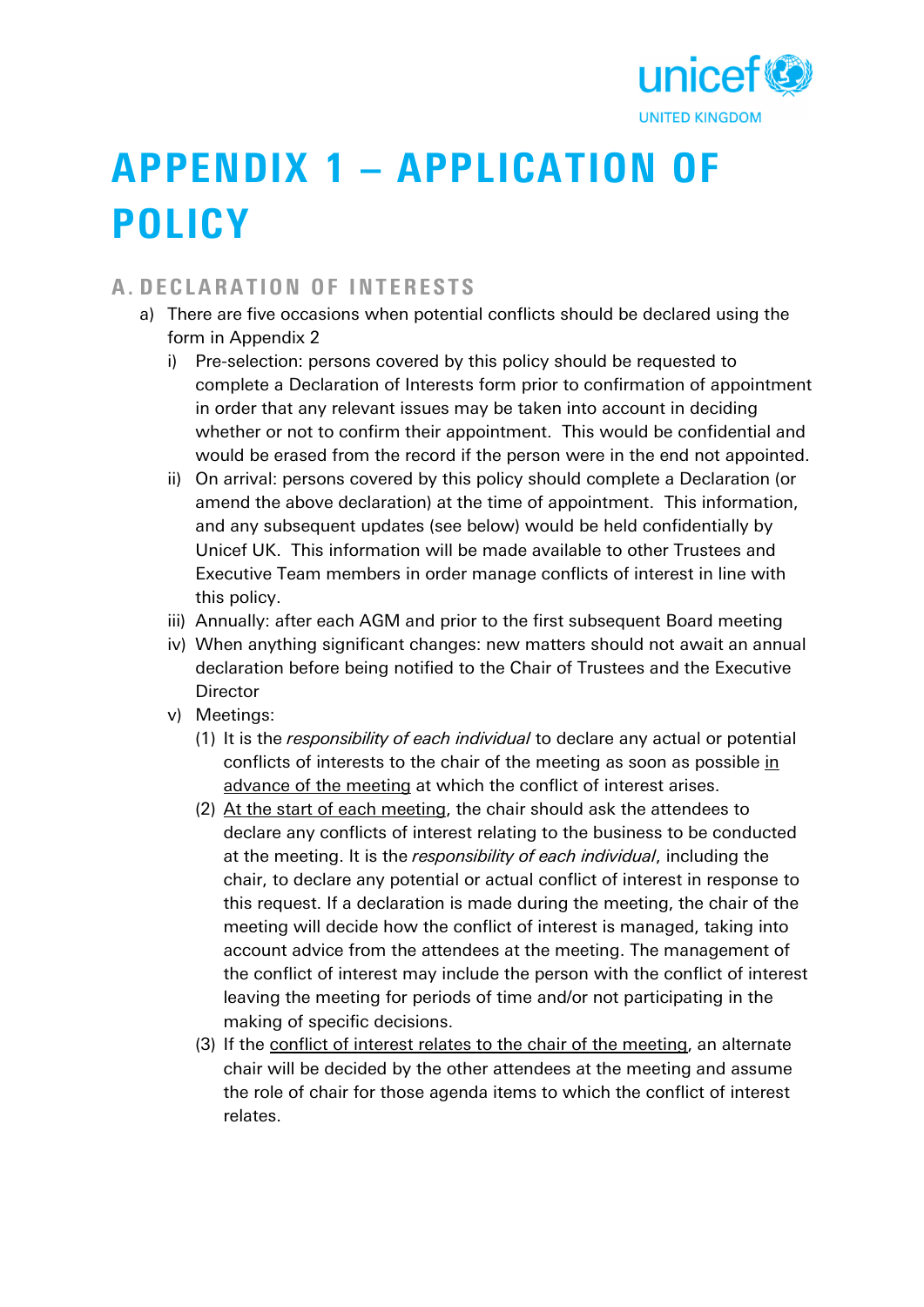

# **APPENDIX 1 – APPLICATION OF POLICY**

# **A . D E C L A R A T I O N O F I N T E R E S T S**

- a) There are five occasions when potential conflicts should be declared using the form in Appendix 2
	- i) Pre-selection: persons covered by this policy should be requested to complete a Declaration of Interests form prior to confirmation of appointment in order that any relevant issues may be taken into account in deciding whether or not to confirm their appointment. This would be confidential and would be erased from the record if the person were in the end not appointed.
	- ii) On arrival: persons covered by this policy should complete a Declaration (or amend the above declaration) at the time of appointment. This information, and any subsequent updates (see below) would be held confidentially by Unicef UK. This information will be made available to other Trustees and Executive Team members in order manage conflicts of interest in line with this policy.
	- iii) Annually: after each AGM and prior to the first subsequent Board meeting
	- iv) When anything significant changes: new matters should not await an annual declaration before being notified to the Chair of Trustees and the Executive **Director**
	- v) Meetings:
		- (1) It is the *responsibility of each individual* to declare any actual or potential conflicts of interests to the chair of the meeting as soon as possible in advance of the meeting at which the conflict of interest arises.
		- (2) At the start of each meeting, the chair should ask the attendees to declare any conflicts of interest relating to the business to be conducted at the meeting. It is the *responsibility of each individual*, including the chair, to declare any potential or actual conflict of interest in response to this request. If a declaration is made during the meeting, the chair of the meeting will decide how the conflict of interest is managed, taking into account advice from the attendees at the meeting. The management of the conflict of interest may include the person with the conflict of interest leaving the meeting for periods of time and/or not participating in the making of specific decisions.
		- (3) If the conflict of interest relates to the chair of the meeting, an alternate chair will be decided by the other attendees at the meeting and assume the role of chair for those agenda items to which the conflict of interest relates.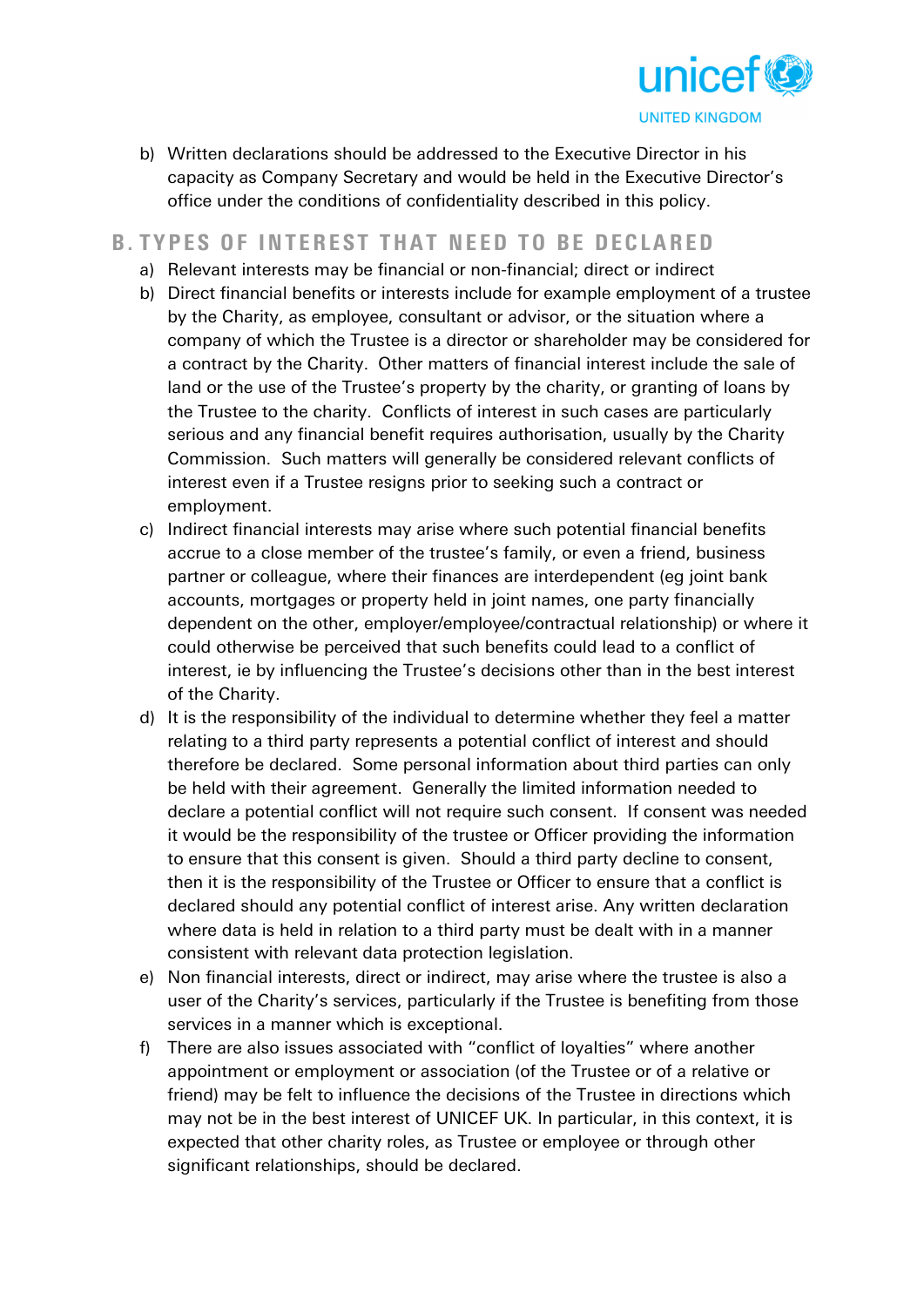

b) Written declarations should be addressed to the Executive Director in his capacity as Company Secretary and would be held in the Executive Director's office under the conditions of confidentiality described in this policy.

### **B. TYPES OF INTEREST THAT NEED TO BE DECLARED**

- a) Relevant interests may be financial or non-financial; direct or indirect
- b) Direct financial benefits or interests include for example employment of a trustee by the Charity, as employee, consultant or advisor, or the situation where a company of which the Trustee is a director or shareholder may be considered for a contract by the Charity. Other matters of financial interest include the sale of land or the use of the Trustee's property by the charity, or granting of loans by the Trustee to the charity. Conflicts of interest in such cases are particularly serious and any financial benefit requires authorisation, usually by the Charity Commission. Such matters will generally be considered relevant conflicts of interest even if a Trustee resigns prior to seeking such a contract or employment.
- c) Indirect financial interests may arise where such potential financial benefits accrue to a close member of the trustee's family, or even a friend, business partner or colleague, where their finances are interdependent (eg joint bank accounts, mortgages or property held in joint names, one party financially dependent on the other, employer/employee/contractual relationship) or where it could otherwise be perceived that such benefits could lead to a conflict of interest, ie by influencing the Trustee's decisions other than in the best interest of the Charity.
- d) It is the responsibility of the individual to determine whether they feel a matter relating to a third party represents a potential conflict of interest and should therefore be declared. Some personal information about third parties can only be held with their agreement. Generally the limited information needed to declare a potential conflict will not require such consent. If consent was needed it would be the responsibility of the trustee or Officer providing the information to ensure that this consent is given. Should a third party decline to consent, then it is the responsibility of the Trustee or Officer to ensure that a conflict is declared should any potential conflict of interest arise. Any written declaration where data is held in relation to a third party must be dealt with in a manner consistent with relevant data protection legislation.
- e) Non financial interests, direct or indirect, may arise where the trustee is also a user of the Charity's services, particularly if the Trustee is benefiting from those services in a manner which is exceptional.
- f) There are also issues associated with "conflict of loyalties" where another appointment or employment or association (of the Trustee or of a relative or friend) may be felt to influence the decisions of the Trustee in directions which may not be in the best interest of UNICEF UK. In particular, in this context, it is expected that other charity roles, as Trustee or employee or through other significant relationships, should be declared.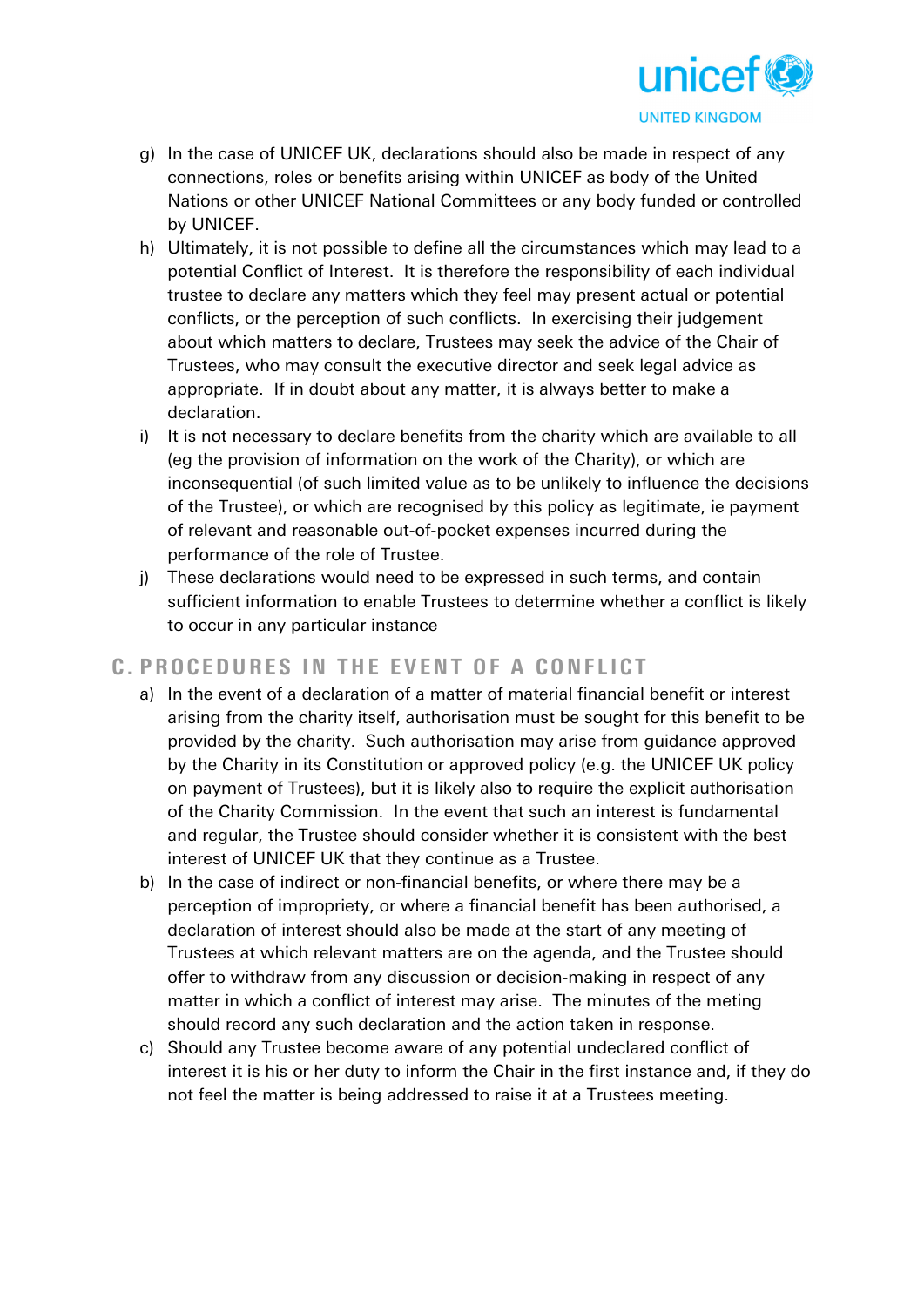

- g) In the case of UNICEF UK, declarations should also be made in respect of any connections, roles or benefits arising within UNICEF as body of the United Nations or other UNICEF National Committees or any body funded or controlled by UNICEF.
- h) Ultimately, it is not possible to define all the circumstances which may lead to a potential Conflict of Interest. It is therefore the responsibility of each individual trustee to declare any matters which they feel may present actual or potential conflicts, or the perception of such conflicts. In exercising their judgement about which matters to declare, Trustees may seek the advice of the Chair of Trustees, who may consult the executive director and seek legal advice as appropriate. If in doubt about any matter, it is always better to make a declaration.
- i) It is not necessary to declare benefits from the charity which are available to all (eg the provision of information on the work of the Charity), or which are inconsequential (of such limited value as to be unlikely to influence the decisions of the Trustee), or which are recognised by this policy as legitimate, ie payment of relevant and reasonable out-of-pocket expenses incurred during the performance of the role of Trustee.
- j) These declarations would need to be expressed in such terms, and contain sufficient information to enable Trustees to determine whether a conflict is likely to occur in any particular instance

### **C. PROCEDURES IN THE EVENT OF A CONFLICT**

- a) In the event of a declaration of a matter of material financial benefit or interest arising from the charity itself, authorisation must be sought for this benefit to be provided by the charity. Such authorisation may arise from guidance approved by the Charity in its Constitution or approved policy (e.g. the UNICEF UK policy on payment of Trustees), but it is likely also to require the explicit authorisation of the Charity Commission. In the event that such an interest is fundamental and regular, the Trustee should consider whether it is consistent with the best interest of UNICEF UK that they continue as a Trustee.
- b) In the case of indirect or non-financial benefits, or where there may be a perception of impropriety, or where a financial benefit has been authorised, a declaration of interest should also be made at the start of any meeting of Trustees at which relevant matters are on the agenda, and the Trustee should offer to withdraw from any discussion or decision-making in respect of any matter in which a conflict of interest may arise. The minutes of the meting should record any such declaration and the action taken in response.
- c) Should any Trustee become aware of any potential undeclared conflict of interest it is his or her duty to inform the Chair in the first instance and, if they do not feel the matter is being addressed to raise it at a Trustees meeting.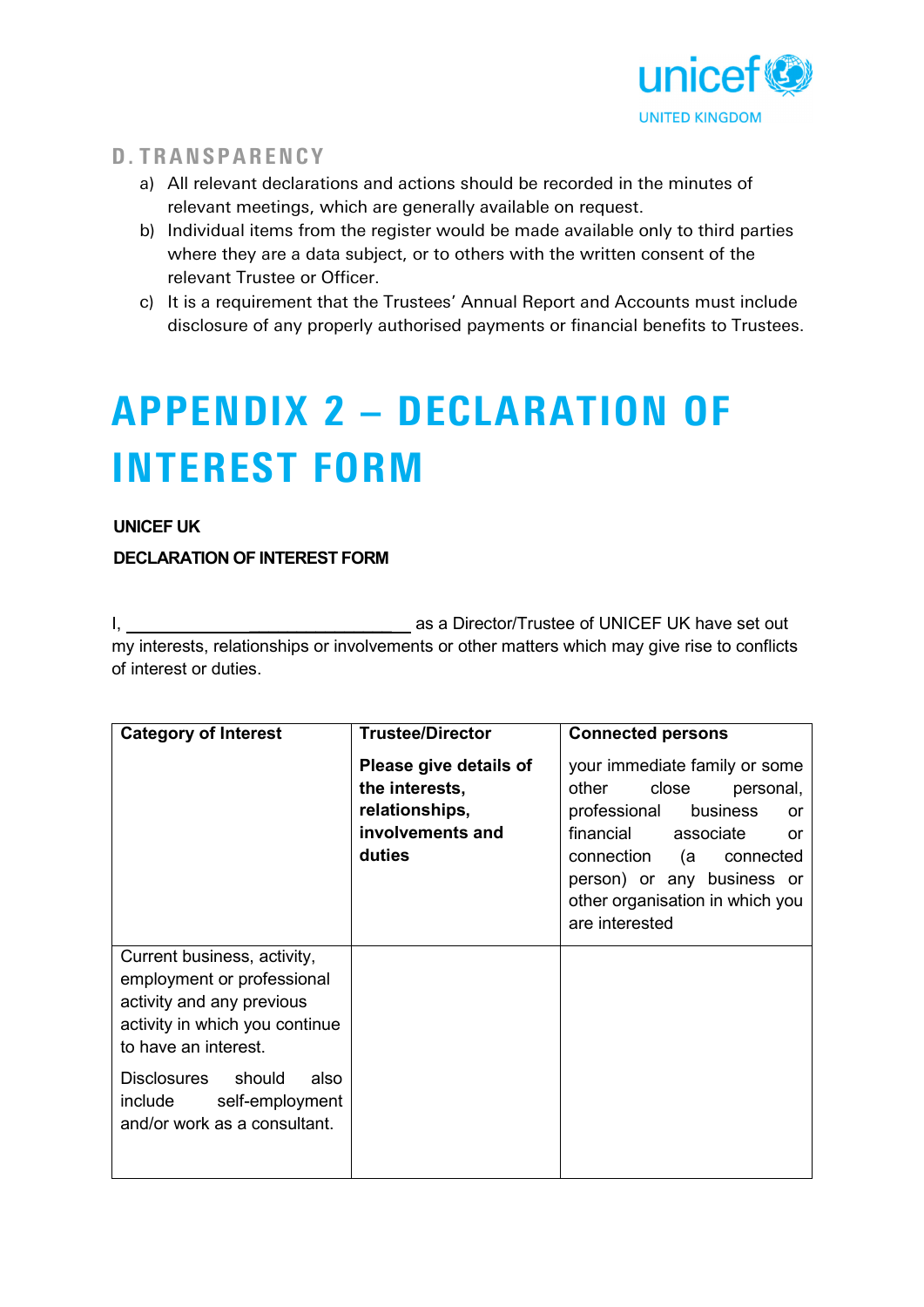

## **D . T R A N S P A R E N C Y**

- a) All relevant declarations and actions should be recorded in the minutes of relevant meetings, which are generally available on request.
- b) Individual items from the register would be made available only to third parties where they are a data subject, or to others with the written consent of the relevant Trustee or Officer.
- c) It is a requirement that the Trustees' Annual Report and Accounts must include disclosure of any properly authorised payments or financial benefits to Trustees.

# **APPENDIX 2 – DECLARATION OF INTEREST FORM**

#### **UNICEF UK**

#### **DECLARATION OF INTEREST FORM**

I, \_\_\_\_\_\_\_\_\_\_\_\_\_\_\_ as a Director/Trustee of UNICEF UK have set out my interests, relationships or involvements or other matters which may give rise to conflicts of interest or duties.

| <b>Category of Interest</b>          | <b>Trustee/Director</b> | <b>Connected persons</b>        |
|--------------------------------------|-------------------------|---------------------------------|
|                                      | Please give details of  | your immediate family or some   |
|                                      | the interests,          | close<br>other<br>personal,     |
|                                      | relationships,          | professional<br>business<br>or  |
|                                      | involvements and        | financial<br>associate<br>or    |
|                                      | duties                  | connection<br>(a l<br>connected |
|                                      |                         | person) or any business or      |
|                                      |                         | other organisation in which you |
|                                      |                         | are interested                  |
| Current business, activity,          |                         |                                 |
| employment or professional           |                         |                                 |
| activity and any previous            |                         |                                 |
| activity in which you continue       |                         |                                 |
| to have an interest.                 |                         |                                 |
| should<br><b>Disclosures</b><br>also |                         |                                 |
| self-employment<br>include           |                         |                                 |
| and/or work as a consultant.         |                         |                                 |
|                                      |                         |                                 |
|                                      |                         |                                 |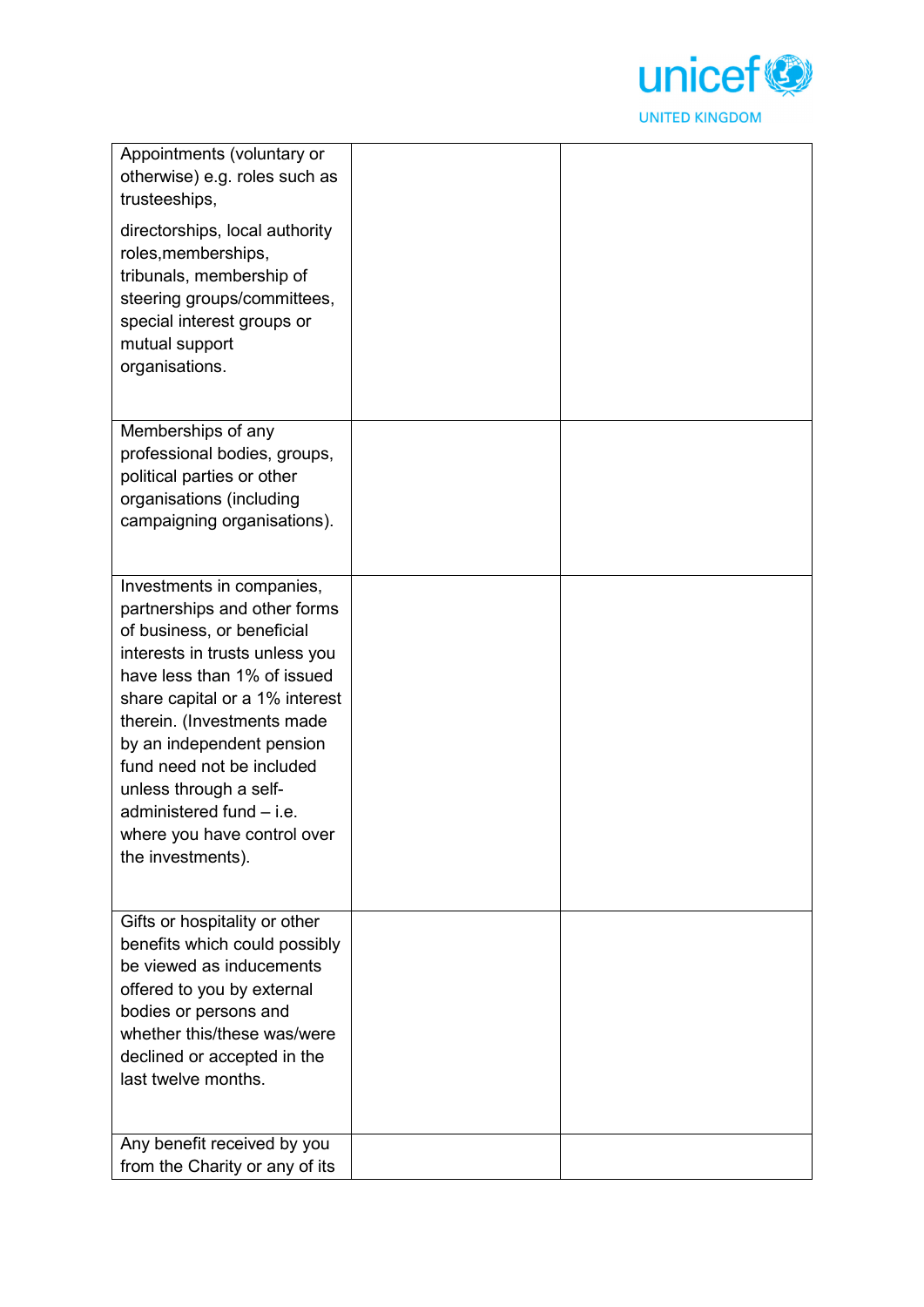

| Appointments (voluntary or<br>otherwise) e.g. roles such as<br>trusteeships,                                                                                                                                                                                                                                                                                                                   |  |
|------------------------------------------------------------------------------------------------------------------------------------------------------------------------------------------------------------------------------------------------------------------------------------------------------------------------------------------------------------------------------------------------|--|
| directorships, local authority<br>roles, memberships,<br>tribunals, membership of<br>steering groups/committees,<br>special interest groups or<br>mutual support<br>organisations.                                                                                                                                                                                                             |  |
| Memberships of any<br>professional bodies, groups,<br>political parties or other<br>organisations (including<br>campaigning organisations).                                                                                                                                                                                                                                                    |  |
| Investments in companies,<br>partnerships and other forms<br>of business, or beneficial<br>interests in trusts unless you<br>have less than 1% of issued<br>share capital or a 1% interest<br>therein. (Investments made<br>by an independent pension<br>fund need not be included<br>unless through a self-<br>administered fund $-$ i.e.<br>where you have control over<br>the investments). |  |
| Gifts or hospitality or other<br>benefits which could possibly<br>be viewed as inducements<br>offered to you by external<br>bodies or persons and<br>whether this/these was/were<br>declined or accepted in the<br>last twelve months.                                                                                                                                                         |  |
| Any benefit received by you<br>from the Charity or any of its                                                                                                                                                                                                                                                                                                                                  |  |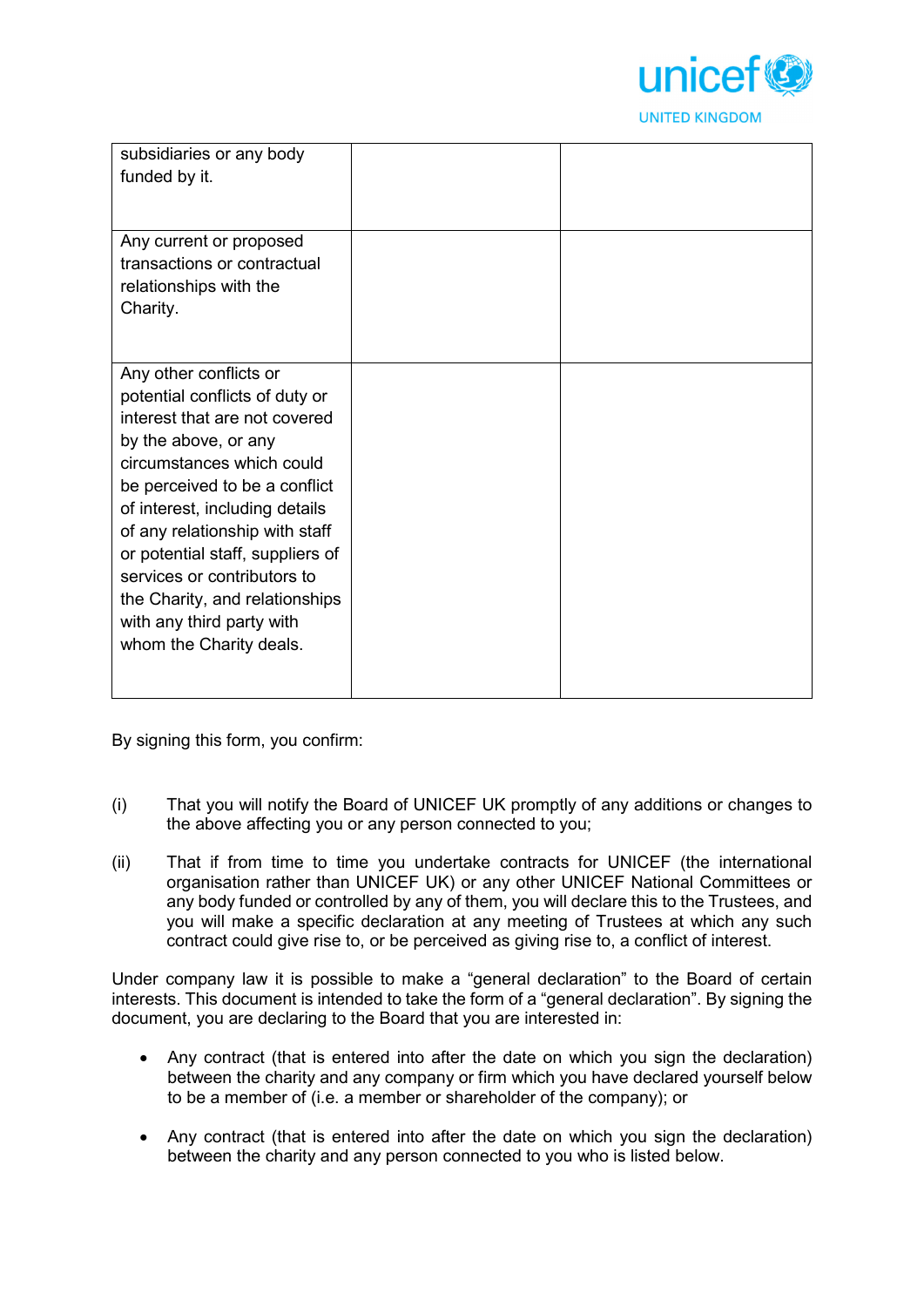

| subsidiaries or any body<br>funded by it.                                                                                                                                                                                                                                                                                                                                                                        |  |
|------------------------------------------------------------------------------------------------------------------------------------------------------------------------------------------------------------------------------------------------------------------------------------------------------------------------------------------------------------------------------------------------------------------|--|
| Any current or proposed<br>transactions or contractual<br>relationships with the<br>Charity.                                                                                                                                                                                                                                                                                                                     |  |
| Any other conflicts or<br>potential conflicts of duty or<br>interest that are not covered<br>by the above, or any<br>circumstances which could<br>be perceived to be a conflict<br>of interest, including details<br>of any relationship with staff<br>or potential staff, suppliers of<br>services or contributors to<br>the Charity, and relationships<br>with any third party with<br>whom the Charity deals. |  |

By signing this form, you confirm:

- (i) That you will notify the Board of UNICEF UK promptly of any additions or changes to the above affecting you or any person connected to you;
- (ii) That if from time to time you undertake contracts for UNICEF (the international organisation rather than UNICEF UK) or any other UNICEF National Committees or any body funded or controlled by any of them, you will declare this to the Trustees, and you will make a specific declaration at any meeting of Trustees at which any such contract could give rise to, or be perceived as giving rise to, a conflict of interest.

Under company law it is possible to make a "general declaration" to the Board of certain interests. This document is intended to take the form of a "general declaration". By signing the document, you are declaring to the Board that you are interested in:

- Any contract (that is entered into after the date on which you sign the declaration) between the charity and any company or firm which you have declared yourself below to be a member of (i.e. a member or shareholder of the company); or
- Any contract (that is entered into after the date on which you sign the declaration) between the charity and any person connected to you who is listed below.